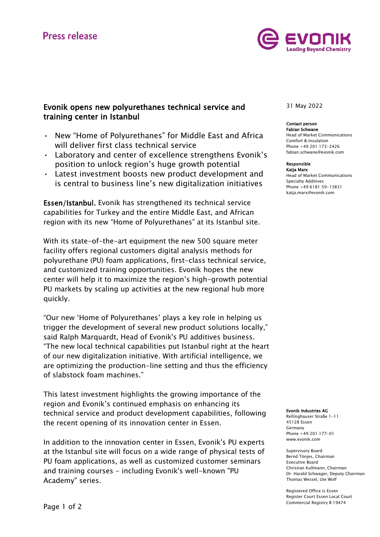

# Evonik opens new polyurethanes technical service and training center in Istanbul

- New "Home of Polyurethanes" for Middle East and Africa will deliver first class technical service
- Laboratory and center of excellence strengthens Evonik's position to unlock region's huge growth potential
- Latest investment boosts new product development and is central to business line's new digitalization initiatives

Essen/Istanbul. Evonik has strengthened its technical service capabilities for Turkey and the entire Middle East, and African region with its new "Home of Polyurethanes" at its Istanbul site.

With its state-of-the-art equipment the new 500 square meter facility offers regional customers digital analysis methods for polyurethane (PU) foam applications, first-class technical service, and customized training opportunities. Evonik hopes the new center will help it to maximize the region's high-growth potential PU markets by scaling up activities at the new regional hub more quickly.

"Our new 'Home of Polyurethanes' plays a key role in helping us trigger the development of several new product solutions locally," said Ralph Marquardt, Head of Evonik's PU additives business. "The new local technical capabilities put Istanbul right at the heart of our new digitalization initiative. With artificial intelligence, we are optimizing the production-line setting and thus the efficiency of slabstock foam machines."

This latest investment highlights the growing importance of the region and Evonik's continued emphasis on enhancing its technical service and product development capabilities, following the recent opening of its innovation center in Essen.

In addition to the innovation center in Essen, Evonik's PU experts at the Istanbul site will focus on a wide range of physical tests of PU foam applications, as well as customized customer seminars and training courses - including Evonik's well-known "PU Academy" series.

# 31 May 2022

# Contact person

Fabian Schwane Head of Market Communications Comfort & Insulation Phone +49 201 173-2426 fabian.schwane@evonik.com

## Responsible

Katja Marx Head of Market Communications Specialty Additives Phone +49 6181 59-13831 [katja.marx@evonik.com](mailto:katja.marx@evonik.com)

#### Evonik Industries AG

Rellinghauser Straße 1-11 45128 Essen Germany Phone +49 201 177-01 www.evonik.com

Supervisory Board Bernd Tönjes, Chairman Executive Board Christian Kullmann, Chairman Dr. Harald Schwager, Deputy Chairman Thomas Wessel, Ute Wolf

Registered Office is Essen Register Court Essen Local Court Commercial Registry B 19474